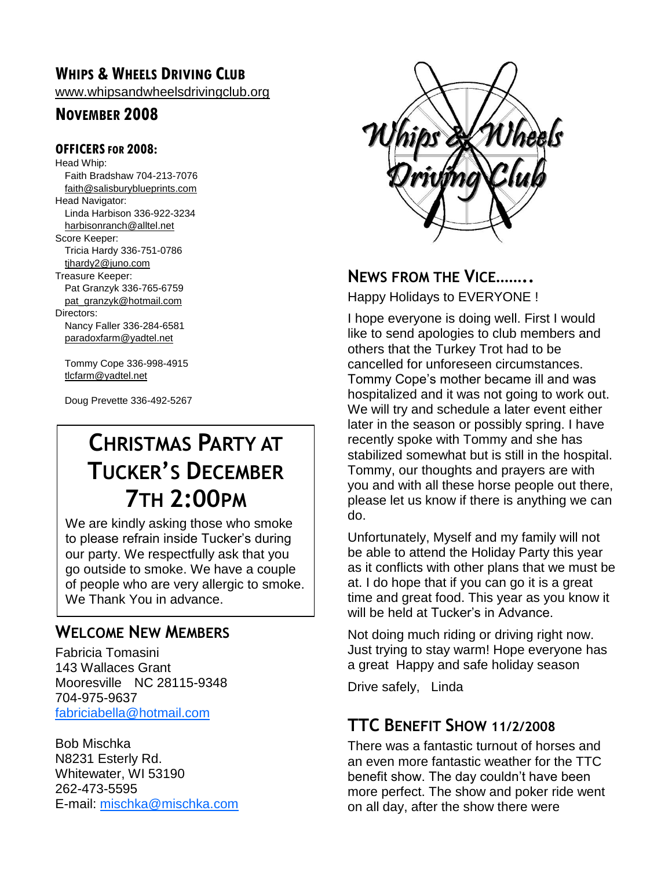### **WHIPS & WHEELS DRIVING CLUB**

[www.whipsandwheelsdrivingclub.org](http://www.whipsandwheelsdrivingclub.org/)

### **NOVEMBER 2008**

#### **OFFICERSFOR 2008:**

Head Whip: Faith Bradshaw 704-213-7076 [faith@salisburyblueprints.com](mailto:faith@salisburyblueprints.com) Head Navigator: Linda Harbison 336-922-3234 [harbisonranch@alltel.net](mailto:harbisonranch@alltel.net) Score Keeper: Tricia Hardy 336-751-0786 [tjhardy2@juno.com](mailto:tjhardy2@juno.com) Treasure Keeper: Pat Granzyk 336-765-6759 [pat\\_granzyk@hotmail.com](mailto:pat_granzyk@hotmail.com) Directors: Nancy Faller 336-284-6581 [paradoxfarm@yadtel.net](mailto:paradoxfarm@yadtel.net)

Tommy Cope 336-998-4915 [tlcfarm@yadtel.net](mailto:tlcfarm@yadtel.net)

Doug Prevette 336-492-5267

# **CHRISTMAS PARTY AT TUCKER'S DECEMBER 7TH 2:00PM**

We are kindly asking those who smoke to please refrain inside Tucker's during our party. We respectfully ask that you go outside to smoke. We have a couple of people who are very allergic to smoke. We Thank You in advance.

### **WELCOME NEW MEMBERS**

Fabricia Tomasini 143 Wallaces Grant Mooresville NC 28115-9348 704-975-9637 [fabriciabella@hotmail.com](mailto:fabriciabella@hotmail.com)

Bob Mischka N8231 Esterly Rd. Whitewater, WI 53190 262-473-5595 E-mail: [mischka@mischka.com](mailto:mischka@mischka.com)



### **NEWS FROM THE VICE……..**

Happy Holidays to EVERYONE !

I hope everyone is doing well. First I would like to send apologies to club members and others that the Turkey Trot had to be cancelled for unforeseen circumstances. Tommy Cope's mother became ill and was hospitalized and it was not going to work out. We will try and schedule a later event either later in the season or possibly spring. I have recently spoke with Tommy and she has stabilized somewhat but is still in the hospital. Tommy, our thoughts and prayers are with you and with all these horse people out there, please let us know if there is anything we can do.

Unfortunately, Myself and my family will not be able to attend the Holiday Party this year as it conflicts with other plans that we must be at. I do hope that if you can go it is a great time and great food. This year as you know it will be held at Tucker's in Advance.

Not doing much riding or driving right now. Just trying to stay warm! Hope everyone has a great Happy and safe holiday season

Drive safely, Linda

### **TTC BENEFIT SHOW 11/2/2008**

There was a fantastic turnout of horses and an even more fantastic weather for the TTC benefit show. The day couldn't have been more perfect. The show and poker ride went on all day, after the show there were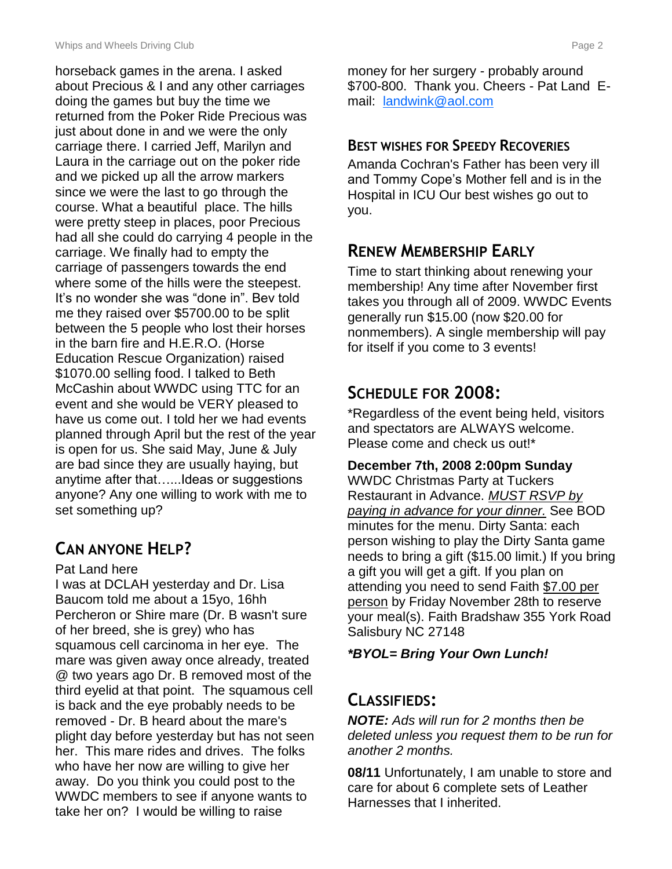horseback games in the arena. I asked about Precious & I and any other carriages doing the games but buy the time we returned from the Poker Ride Precious was just about done in and we were the only carriage there. I carried Jeff, Marilyn and Laura in the carriage out on the poker ride and we picked up all the arrow markers since we were the last to go through the course. What a beautiful place. The hills were pretty steep in places, poor Precious had all she could do carrying 4 people in the carriage. We finally had to empty the carriage of passengers towards the end where some of the hills were the steepest. It's no wonder she was "done in". Bev told me they raised over \$5700.00 to be split between the 5 people who lost their horses in the barn fire and H.E.R.O. (Horse Education Rescue Organization) raised \$1070.00 selling food. I talked to Beth McCashin about WWDC using TTC for an event and she would be VERY pleased to have us come out. I told her we had events planned through April but the rest of the year is open for us. She said May, June & July are bad since they are usually haying, but anytime after that…...Ideas or suggestions anyone? Any one willing to work with me to set something up?

## **CAN ANYONE HELP?**

#### Pat Land here

I was at DCLAH yesterday and Dr. Lisa Baucom told me about a 15yo, 16hh Percheron or Shire mare (Dr. B wasn't sure of her breed, she is grey) who has squamous cell carcinoma in her eye. The mare was given away once already, treated @ two years ago Dr. B removed most of the third eyelid at that point. The squamous cell is back and the eye probably needs to be removed - Dr. B heard about the mare's plight day before yesterday but has not seen her. This mare rides and drives. The folks who have her now are willing to give her away. Do you think you could post to the WWDC members to see if anyone wants to take her on? I would be willing to raise

money for her surgery - probably around \$700-800. Thank you. Cheers - Pat Land Email: [landwink@aol.com](mailto:landwink@aol.com)

### **BEST WISHES FOR SPEEDY RECOVERIES**

Amanda Cochran's Father has been very ill and Tommy Cope's Mother fell and is in the Hospital in ICU Our best wishes go out to you.

### **RENEW MEMBERSHIP EARLY**

Time to start thinking about renewing your membership! Any time after November first takes you through all of 2009. WWDC Events generally run \$15.00 (now \$20.00 for nonmembers). A single membership will pay for itself if you come to 3 events!

### **SCHEDULE FOR 2008:**

\*Regardless of the event being held, visitors and spectators are ALWAYS welcome. Please come and check us out!\*

#### **December 7th, 2008 2:00pm Sunday**

WWDC Christmas Party at Tuckers Restaurant in Advance. *MUST RSVP by paying in advance for your dinner.* See BOD minutes for the menu. Dirty Santa: each person wishing to play the Dirty Santa game needs to bring a gift (\$15.00 limit.) If you bring a gift you will get a gift. If you plan on attending you need to send Faith \$7.00 per person by Friday November 28th to reserve your meal(s). Faith Bradshaw 355 York Road Salisbury NC 27148

#### *\*BYOL= Bring Your Own Lunch!*

### **CLASSIFIEDS:**

*NOTE: Ads will run for 2 months then be deleted unless you request them to be run for another 2 months.*

**08/11** Unfortunately, I am unable to store and care for about 6 complete sets of Leather Harnesses that I inherited.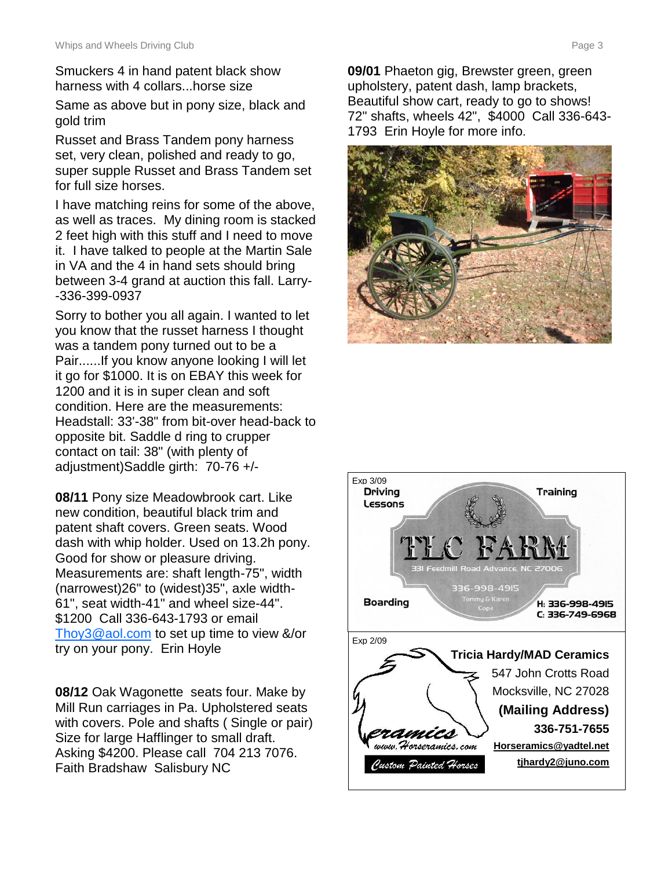Smuckers 4 in hand patent black show harness with 4 collars...horse size

Same as above but in pony size, black and gold trim

Russet and Brass Tandem pony harness set, very clean, polished and ready to go, super supple Russet and Brass Tandem set for full size horses.

I have matching reins for some of the above, as well as traces. My dining room is stacked 2 feet high with this stuff and I need to move it. I have talked to people at the Martin Sale in VA and the 4 in hand sets should bring between 3-4 grand at auction this fall. Larry- -336-399-0937

Sorry to bother you all again. I wanted to let you know that the russet harness I thought was a tandem pony turned out to be a Pair......If you know anyone looking I will let it go for \$1000. It is on EBAY this week for 1200 and it is in super clean and soft condition. Here are the measurements: Headstall: 33'-38" from bit-over head-back to opposite bit. Saddle d ring to crupper contact on tail: 38" (with plenty of adjustment)Saddle girth: 70-76 +/-

**08/11** Pony size Meadowbrook cart. Like new condition, beautiful black trim and patent shaft covers. Green seats. Wood dash with whip holder. Used on 13.2h pony. Good for show or pleasure driving. Measurements are: shaft length-75", width (narrowest)26" to (widest)35", axle width-61", seat width-41" and wheel size-44". \$1200 Call 336-643-1793 or email [Thoy3@aol.com](mailto:Thoy3@aol.com) to set up time to view &/or try on your pony. Erin Hoyle

**08/12** Oak Wagonette seats four. Make by Mill Run carriages in Pa. Upholstered seats with covers. Pole and shafts ( Single or pair) Size for large Hafflinger to small draft. Asking \$4200. Please call 704 213 7076. Faith Bradshaw Salisbury NC

**09/01** Phaeton gig, Brewster green, green upholstery, patent dash, lamp brackets, Beautiful show cart, ready to go to shows! 72" shafts, wheels 42", \$4000 Call 336-643- 1793 Erin Hoyle for more info.